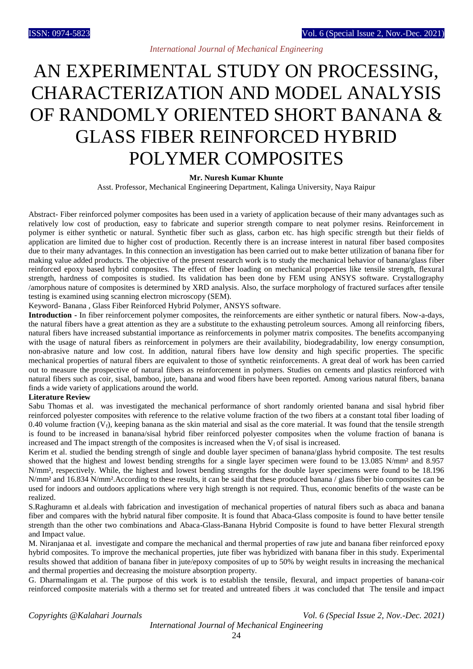# *International Journal of Mechanical Engineering*

# AN EXPERIMENTAL STUDY ON PROCESSING, CHARACTERIZATION AND MODEL ANALYSIS OF RANDOMLY ORIENTED SHORT BANANA & GLASS FIBER REINFORCED HYBRID POLYMER COMPOSITES

#### **Mr. Nuresh Kumar Khunte**

Asst. Professor, Mechanical Engineering Department, Kalinga University, Naya Raipur

Abstract- Fiber reinforced polymer composites has been used in a variety of application because of their many advantages such as relatively low cost of production, easy to fabricate and superior strength compare to neat polymer resins. Reinforcement in polymer is either synthetic or natural. Synthetic fiber such as glass, carbon etc. has high specific strength but their fields of application are limited due to higher cost of production. Recently there is an increase interest in natural fiber based composites due to their many advantages. In this connection an investigation has been carried out to make better utilization of banana fiber for making value added products. The objective of the present research work is to study the mechanical behavior of banana/glass fiber reinforced epoxy based hybrid composites. The effect of fiber loading on mechanical properties like tensile strength, flexural strength, hardness of composites is studied. Its validation has been done by FEM using ANSYS software. Crystallography /amorphous nature of composites is determined by XRD analysis. Also, the surface morphology of fractured surfaces after tensile testing is examined using scanning electron microscopy (SEM).

Keyword- Banana , Glass Fiber Reinforced Hybrid Polymer, ANSYS software.

**Introduction -** In fiber reinforcement polymer composites, the reinforcements are either synthetic or natural fibers. Now-a-days, the natural fibers have a great attention as they are a substitute to the exhausting petroleum sources. Among all reinforcing fibers, natural fibers have increased substantial importance as reinforcements in polymer matrix composites. The benefits accompanying with the usage of natural fibers as reinforcement in polymers are their availability, biodegradability, low energy consumption, non-abrasive nature and low cost. In addition, natural fibers have low density and high specific properties. The specific mechanical properties of natural fibers are equivalent to those of synthetic reinforcements. A great deal of work has been carried out to measure the prospective of natural fibers as reinforcement in polymers. Studies on cements and plastics reinforced with natural fibers such as coir, sisal, bamboo, jute, banana and wood fibers have been reported. Among various natural fibers, banana finds a wide variety of applications around the world.

#### **Literature Review**

Sabu Thomas et al. was investigated the mechanical performance of short randomly oriented banana and sisal hybrid fiber reinforced polyester composites with reference to the relative volume fraction of the two fibers at a constant total fiber loading of 0.40 volume fraction  $(V_f)$ , keeping banana as the skin material and sisal as the core material. It was found that the tensile strength is found to be increased in banana/sisal hybrid fiber reinforced polyester composites when the volume fraction of banana is increased and The impact strength of the composites is increased when the  $V_f$  of sisal is increased.

Kerim et al. studied the bending strength of single and double layer specimen of banana/glass hybrid composite. The test results showed that the highest and lowest bending strengths for a single layer specimen were found to be 13.085 N/mm² and 8.957 N/mm², respectively. While, the highest and lowest bending strengths for the double layer specimens were found to be 18.196 N/mm² and 16.834 N/mm².According to these results, it can be said that these produced banana / glass fiber bio composites can be used for indoors and outdoors applications where very high strength is not required. Thus, economic benefits of the waste can be realized.

S.Raghuramn et al.deals with fabrication and investigation of mechanical properties of natural fibers such as abaca and banana fiber and compares with the hybrid natural fiber composite. It is found that Abaca-Glass composite is found to have better tensile strength than the other two combinations and Abaca-Glass-Banana Hybrid Composite is found to have better Flexural strength and Impact value.

M. Niranjanaa et al. investigate and compare the mechanical and thermal properties of raw jute and banana fiber reinforced epoxy hybrid composites. To improve the mechanical properties, jute fiber was hybridized with banana fiber in this study. Experimental results showed that addition of banana fiber in jute/epoxy composites of up to 50% by weight results in increasing the mechanical and thermal properties and decreasing the moisture absorption property.

G. Dharmalingam et al. The purpose of this work is to establish the tensile, flexural, and impact properties of banana-coir reinforced composite materials with a thermo set for treated and untreated fibers .it was concluded that The tensile and impact

*Copyrights @Kalahari Journals Vol. 6 (Special Issue 2, Nov.-Dec. 2021)*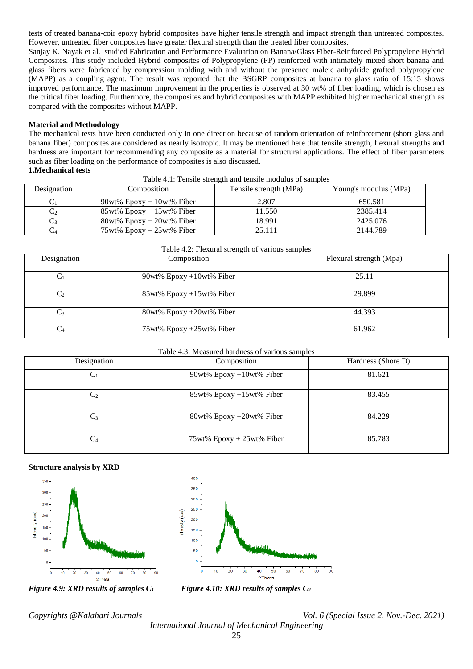tests of treated banana-coir epoxy hybrid composites have higher tensile strength and impact strength than untreated composites. However, untreated fiber composites have greater flexural strength than the treated fiber composites.

Sanjay K. Nayak et al. studied Fabrication and Performance Evaluation on Banana/Glass Fiber-Reinforced Polypropylene Hybrid Composites. This study included Hybrid composites of Polypropylene (PP) reinforced with intimately mixed short banana and glass fibers were fabricated by compression molding with and without the presence maleic anhydride grafted polypropylene (MAPP) as a coupling agent. The result was reported that the BSGRP composites at banana to glass ratio of 15:15 shows improved performance. The maximum improvement in the properties is observed at 30 wt% of fiber loading, which is chosen as the critical fiber loading. Furthermore, the composites and hybrid composites with MAPP exhibited higher mechanical strength as compared with the composites without MAPP.

#### **Material and Methodology**

The mechanical tests have been conducted only in one direction because of random orientation of reinforcement (short glass and banana fiber) composites are considered as nearly isotropic. It may be mentioned here that tensile strength, flexural strengths and hardness are important for recommending any composite as a material for structural applications. The effect of fiber parameters such as fiber loading on the performance of composites is also discussed.

| Table 4.1: Tensile strength and tensile modulus of samples |  |
|------------------------------------------------------------|--|
|                                                            |  |

| Designation | Composition                     | Tensile strength (MPa) | Young's modulus (MPa) |
|-------------|---------------------------------|------------------------|-----------------------|
|             | $90wt\%$ Epoxy + 10wt% Fiber    | 2.807                  | 650.581               |
|             | $85wt\%$ Epoxy + 15wt% Fiber    | 11.550                 | 2385.414              |
|             | $80wt\%$ Epoxy + 20wt% Fiber    | 18.991                 | 2425.076              |
|             | $75wt\%$ Epoxy + $25wt\%$ Fiber | 25.111                 | 2144.789              |

| Designation    | Composition                 | Flexural strength (Mpa) |
|----------------|-----------------------------|-------------------------|
| $\mathrm{C}_1$ | 90wt% Epoxy +10wt% Fiber    | 25.11                   |
| $C_2$          | $85wt\%$ Epoxy +15wt% Fiber | 29.899                  |
| $C_3$          | $80wt\%$ Epoxy +20wt% Fiber | 44.393                  |
| $C_4$          | 75wt% Epoxy +25wt% Fiber    | 61.962                  |

## Table 4.3: Measured hardness of various samples

| Designation    | Composition                  | Hardness (Shore D) |  |  |  |
|----------------|------------------------------|--------------------|--|--|--|
| $C_1$          | $90wt\%$ Epoxy +10wt% Fiber  | 81.621             |  |  |  |
| C <sub>2</sub> | 85wt% Epoxy +15wt% Fiber     | 83.455             |  |  |  |
| $C_3$          | $80wt\%$ Epoxy +20wt% Fiber  | 84.229             |  |  |  |
| C <sub>4</sub> | $75wt\%$ Epoxy + 25wt% Fiber | 85.783             |  |  |  |

#### **Structure analysis by XRD**





*Figure 4.9: XRD results of samples C1 Figure 4.10: XRD results of samples C2*

*Copyrights @Kalahari Journals Vol. 6 (Special Issue 2, Nov.-Dec. 2021)*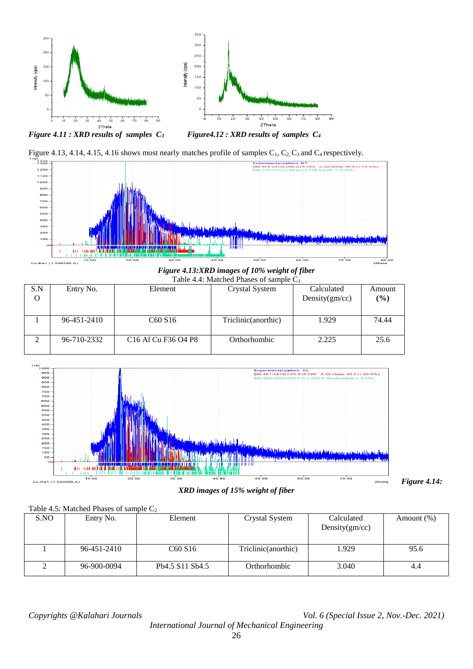

*Figure 4.11 : XRD results of samples C3 Figure4.12 : XRD results of samples C<sup>4</sup>*





*Figure 4.13:XRD images of 10% weight of fiber* Table 4.4: Matched Phases of sample C<sup>1</sup>

| S.N<br>O | Entry No.   | Element                                                                                     | Crystal System       | Calculated<br>Density $(gm/cc)$ | Amount<br>(%) |
|----------|-------------|---------------------------------------------------------------------------------------------|----------------------|---------------------------------|---------------|
|          | 96-451-2410 | C <sub>60</sub> S <sub>16</sub>                                                             | Triclinic (anorthic) | 1.929                           | 74.44         |
|          | 96-710-2332 | C <sub>16</sub> A <sub>1</sub> C <sub>u</sub> F <sub>36</sub> O <sub>4</sub> P <sub>8</sub> | Orthorhombic         | 2.225                           | 25.6          |



*XRD images of 15% weight of fiber*

*Figure 4.14:* 

Table 4.5: Matched Phases of sample  $C_2$ 

| S.NO | Entry No.   | Element         | Crystal System       | Calculated<br>Density $(gm/cc)$ | Amount $(\%)$ |
|------|-------------|-----------------|----------------------|---------------------------------|---------------|
|      | 96-451-2410 | C60 S16         | Triclinic (anorthic) | 1.929                           | 95.6          |
|      | 96-900-0094 | Pb4.5 S11 Sb4.5 | Orthorhombic         | 3.040                           | 4.4           |

*Copyrights @Kalahari Journals Vol. 6 (Special Issue 2, Nov.-Dec. 2021)*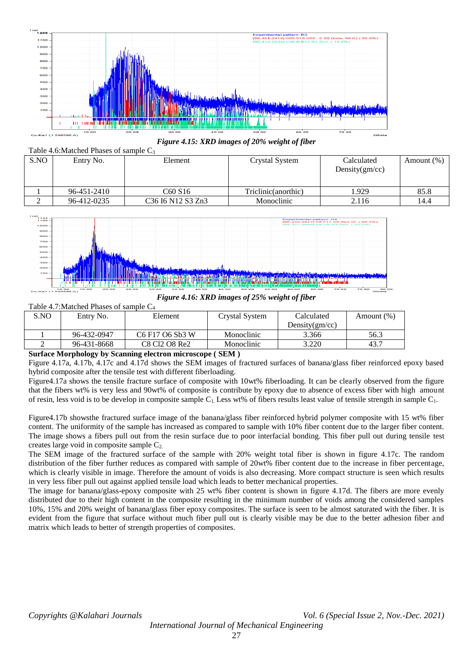



| S.NO | Entry No.   | Element                                                                                   | Crystal System      | Calculated<br>Density $(gm/cc)$ | Amount $(\%)$ |
|------|-------------|-------------------------------------------------------------------------------------------|---------------------|---------------------------------|---------------|
|      | 96-451-2410 | C60 S16                                                                                   | Triclinic(anorthic) | .929                            | 85.8          |
|      | 96-412-0235 | C <sub>36</sub> I <sub>6</sub> N <sub>12</sub> S <sub>3</sub> Z <sub>n</sub> <sub>3</sub> | Monoclinic          | 2.116                           | 14.4          |



*Figure 4.16: XRD images of 25% weight of fiber*

|      | Table 4.7: Matched Phases of sample $C_4$ |                                                                             |                |                   |               |  |  |
|------|-------------------------------------------|-----------------------------------------------------------------------------|----------------|-------------------|---------------|--|--|
| S.NO | Entry No.                                 | Element                                                                     | Crystal System | Calculated        | Amount $(\%)$ |  |  |
|      |                                           |                                                                             |                | Density $(gm/cc)$ |               |  |  |
|      | 96-432-0947                               | C <sub>6</sub> F <sub>17</sub> O <sub>6</sub> S <sub>b</sub> <sub>3</sub> W | Monoclinic     | 3.366             | 56.3          |  |  |
|      | 96-431-8668                               | C8 Cl2 O8 Re2                                                               | Monoclinic     | 3.220             | 43.7          |  |  |

## **Surface Morphology by Scanning electron microscope ( SEM )**

Figure 4.17a, 4.17b, 4.17c and 4.17d shows the SEM images of fractured surfaces of banana/glass fiber reinforced epoxy based hybrid composite after the tensile test with different fiberloading.

Figure4.17a shows the tensile fracture surface of composite with 10wt% fiberloading. It can be clearly observed from the figure that the fibers wt% is very less and 90wt% of composite is contribute by epoxy due to absence of excess fiber with high amount of resin, less void is to be develop in composite sample C1. Less wt% of fibers results least value of tensile strength in sample C1.

Figure4.17b showsthe fractured surface image of the banana/glass fiber reinforced hybrid polymer composite with 15 wt% fiber content. The uniformity of the sample has increased as compared to sample with 10% fiber content due to the larger fiber content. The image shows a fibers pull out from the resin surface due to poor interfacial bonding. This fiber pull out during tensile test creates large void in composite sample  $C_2$ .

The SEM image of the fractured surface of the sample with 20% weight total fiber is shown in figure 4.17c. The random distribution of the fiber further reduces as compared with sample of 20wt% fiber content due to the increase in fiber percentage, which is clearly visible in image. Therefore the amount of voids is also decreasing. More compact structure is seen which results in very less fiber pull out against applied tensile load which leads to better mechanical properties.

The image for banana/glass-epoxy composite with 25 wt% fiber content is shown in figure 4.17d. The fibers are more evenly distributed due to their high content in the composite resulting in the minimum number of voids among the considered samples 10%, 15% and 20% weight of banana/glass fiber epoxy composites. The surface is seen to be almost saturated with the fiber. It is evident from the figure that surface without much fiber pull out is clearly visible may be due to the better adhesion fiber and matrix which leads to better of strength properties of composites.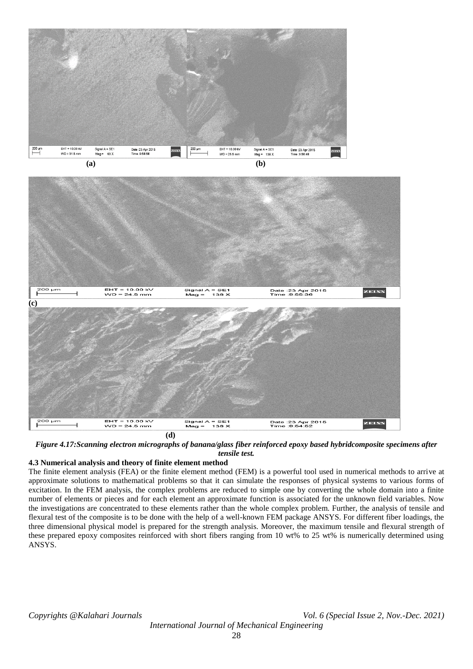



*Figure 4.17:Scanning electron micrographs of banana/glass fiber reinforced epoxy based hybridcomposite specimens after tensile test.*

## **4.3 Numerical analysis and theory of finite element method**

The finite element analysis (FEA) or the finite element method (FEM) is a powerful tool used in numerical methods to arrive at approximate solutions to mathematical problems so that it can simulate the responses of physical systems to various forms of excitation. In the FEM analysis, the complex problems are reduced to simple one by converting the whole domain into a finite number of elements or pieces and for each element an approximate function is associated for the unknown field variables. Now the investigations are concentrated to these elements rather than the whole complex problem. Further, the analysis of tensile and flexural test of the composite is to be done with the help of a well-known FEM package ANSYS. For different fiber loadings, the three dimensional physical model is prepared for the strength analysis. Moreover, the maximum tensile and flexural strength of these prepared epoxy composites reinforced with short fibers ranging from 10 wt% to 25 wt% is numerically determined using ANSYS.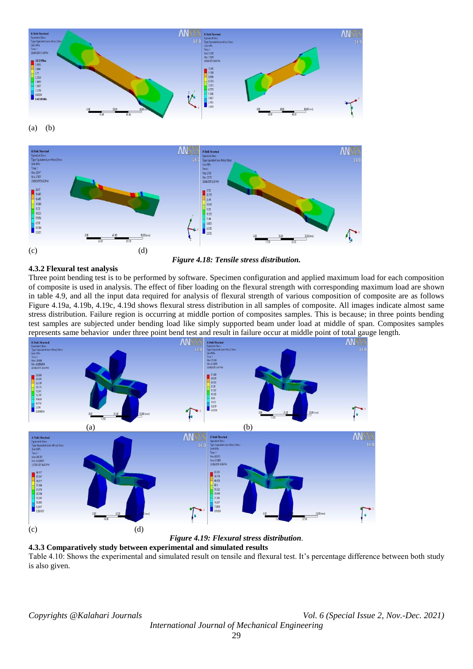

(a) (b)



# **4.3.2 Flexural test analysis**

Three point bending test is to be performed by software. Specimen configuration and applied maximum load for each composition of composite is used in analysis. The effect of fiber loading on the flexural strength with corresponding maximum load are shown in table 4.9, and all the input data required for analysis of flexural strength of various composition of composite are as follows Figure 4.19a, 4.19b, 4.19c, 4.19d shows flexural stress distribution in all samples of composite. All images indicate almost same stress distribution. Failure region is occurring at middle portion of composites samples. This is because; in three points bending test samples are subjected under bending load like simply supported beam under load at middle of span. Composites samples represents same behavior under three point bend test and result in failure occur at middle point of total gauge length.



*Figure 4.19: Flexural stress distribution*.

**4.3.3 Comparatively study between experimental and simulated results** Table 4.10: Shows the experimental and simulated result on tensile and flexural test. It's percentage difference between both study is also given.

*Copyrights @Kalahari Journals Vol. 6 (Special Issue 2, Nov.-Dec. 2021)*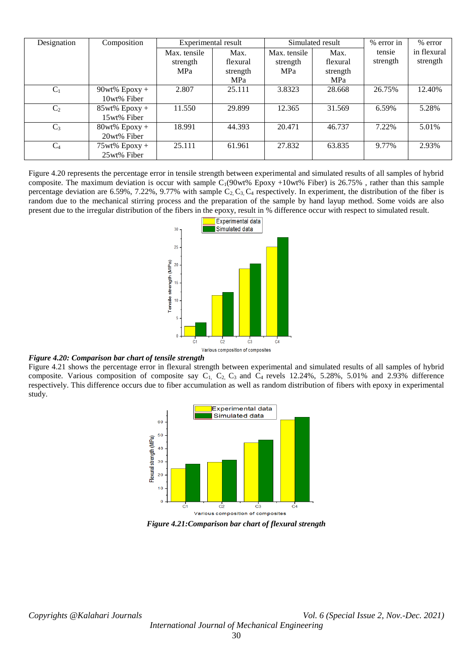| Designation    | Composition      | Experimental result<br>Simulated result |            | % error in   | % error  |          |             |
|----------------|------------------|-----------------------------------------|------------|--------------|----------|----------|-------------|
|                |                  | Max. tensile                            | Max.       | Max. tensile | Max.     | tensie   | in flexural |
|                |                  | strength                                | flexural   | strength     | flexural | strength | strength    |
|                |                  | <b>MPa</b>                              | strength   | <b>MPa</b>   | strength |          |             |
|                |                  |                                         | <b>MPa</b> |              | MPa      |          |             |
| $C_1$          | $90wt\%$ Epoxy + | 2.807                                   | 25.111     | 3.8323       | 28.668   | 26.75%   | 12.40%      |
|                | 10wt% Fiber      |                                         |            |              |          |          |             |
| C <sub>2</sub> | $85wt\%$ Epoxy + | 11.550                                  | 29.899     | 12.365       | 31.569   | 6.59%    | 5.28%       |
|                | 15wt% Fiber      |                                         |            |              |          |          |             |
| $C_3$          | $80wt\%$ Epoxy + | 18.991                                  | 44.393     | 20.471       | 46.737   | 7.22%    | 5.01%       |
|                | 20wt% Fiber      |                                         |            |              |          |          |             |
| $C_4$          | $75wt\%$ Epoxy + | 25.111                                  | 61.961     | 27.832       | 63.835   | 9.77%    | 2.93%       |
|                | 25wt% Fiber      |                                         |            |              |          |          |             |

Figure 4.20 represents the percentage error in tensile strength between experimental and simulated results of all samples of hybrid composite. The maximum deviation is occur with sample  $C_1(90wt\%$  Epoxy +10wt% Fiber) is 26.75%, rather than this sample percentage deviation are 6.59%, 7.22%, 9.77% with sample  $C_2$ ,  $C_3$ ,  $C_4$  respectively. In experiment, the distribution of the fiber is random due to the mechanical stirring process and the preparation of the sample by hand layup method. Some voids are also present due to the irregular distribution of the fibers in the epoxy, result in % difference occur with respect to simulated result.



#### *Figure 4.20: Comparison bar chart of tensile strength*

Figure 4.21 shows the percentage error in flexural strength between experimental and simulated results of all samples of hybrid composite. Various composition of composite say  $C_1$ ,  $C_2$ ,  $C_3$  and  $C_4$  revels 12.24%, 5.28%, 5.01% and 2.93% difference respectively. This difference occurs due to fiber accumulation as well as random distribution of fibers with epoxy in experimental study.



*Figure 4.21:Comparison bar chart of flexural strength*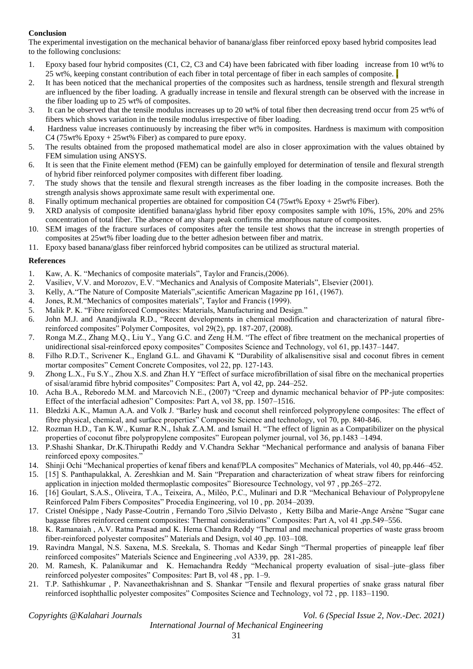# **Conclusion**

The experimental investigation on the mechanical behavior of banana/glass fiber reinforced epoxy based hybrid composites lead to the following conclusions:

- 1. Epoxy based four hybrid composites (C1, C2, C3 and C4) have been fabricated with fiber loading increase from 10 wt% to 25 wt%, keeping constant contribution of each fiber in total percentage of fiber in each samples of composite.
- 2. It has been noticed that the mechanical properties of the composites such as hardness, tensile strength and flexural strength are influenced by the fiber loading. A gradually increase in tensile and flexural strength can be observed with the increase in the fiber loading up to 25 wt% of composites.
- 3. It can be observed that the tensile modulus increases up to 20 wt% of total fiber then decreasing trend occur from 25 wt% of fibers which shows variation in the tensile modulus irrespective of fiber loading.
- 4. Hardness value increases continuously by increasing the fiber wt% in composites. Hardness is maximum with composition C4 (75wt% Epoxy + 25wt% Fiber) as compared to pure epoxy.
- 5. The results obtained from the proposed mathematical model are also in closer approximation with the values obtained by FEM simulation using ANSYS.
- 6. It is seen that the Finite element method (FEM) can be gainfully employed for determination of tensile and flexural strength of hybrid fiber reinforced polymer composites with different fiber loading.
- 7. The study shows that the tensile and flexural strength increases as the fiber loading in the composite increases. Both the strength analysis shows approximate same result with experimental one.
- 8. Finally optimum mechanical properties are obtained for composition C4 (75wt% Epoxy + 25wt% Fiber).
- 9. XRD analysis of composite identified banana/glass hybrid fiber epoxy composites sample with 10%, 15%, 20% and 25% concentration of total fiber. The absence of any sharp peak confirms the amorphous nature of composites.
- 10. SEM images of the fracture surfaces of composites after the tensile test shows that the increase in strength properties of composites at 25wt% fiber loading due to the better adhesion between fiber and matrix.
- 11. Epoxy based banana/glass fiber reinforced hybrid composites can be utilized as structural material.

# **References**

- 1. Kaw, A. K. "Mechanics of composite materials", Taylor and Francis,(2006).
- 2. Vasiliev, V.V. and Morozov, E.V. "Mechanics and Analysis of Composite Materials", Elsevier (2001).
- 3. Kelly, A."The Nature of Composite Materials",scientific American Magazine pp 161, (1967).
- 4. Jones, R.M."Mechanics of composites materials", Taylor and Francis (1999).
- 5. Malik P. K. "Fibre reinforced Composites: Materials, Manufacturing and Design."
- 6. John M.J. and Anandjiwala R.D., "Recent developments in chemical modification and characterization of natural fibrereinforced composites" Polymer Composites, vol 29(2), pp. 187-207, (2008).
- 7. Ronga M.Z., Zhang M.Q., Liu Y., Yang G.C. and Zeng H.M. "The effect of fibre treatment on the mechanical properties of unidirectional sisal-reinforced epoxy composites" Composites Science and Technology, vol 61, pp.1437–1447.
- 8. Filho R.D.T., Scrivener K., England G.L. and Ghavami K "Durability of alkalisensitive sisal and coconut fibres in cement mortar composites" Cement Concrete Composites, vol 22, pp. 127-143.
- 9. Zhong L.X., Fu S.Y., Zhou X.S. and Zhan H.Y "Effect of surface microfibrillation of sisal fibre on the mechanical properties of sisal/aramid fibre hybrid composites" Composites: Part A, vol 42, pp. 244–252.
- 10. Acha B.A., Reboredo M.M. and Marcovich N.E., (2007) "Creep and dynamic mechanical behavior of PP-jute composites: Effect of the interfacial adhesion" Composites: Part A, vol 38, pp. 1507–1516.
- 11. Bledzki A.K., Mamun A.A. and Volk J. "Barley husk and coconut shell reinforced polypropylene composites: The effect of fibre physical, chemical, and surface properties" Composite Science and technology, vol 70, pp. 840-846.
- 12. Rozman H.D., Tan K.W., Kumar R.N., Ishak Z.A.M. and Ismail H. "The effect of lignin as a Compatibilizer on the physical properties of coconut fibre polypropylene composites" European polymer journal, vol 36, pp.1483 –1494.
- 13. P.Shashi Shankar, Dr.K.Thirupathi Reddy and V.Chandra Sekhar "Mechanical performance and analysis of banana Fiber reinforced epoxy composites."
- 14. Shinji Ochi "Mechanical properties of kenaf fibers and kenaf/PLA composites" Mechanics of Materials, vol 40, pp.446–452.
- 15. [15] S. Panthapulakkal, A. Zereshkian and M. Sain "Preparation and characterization of wheat straw fibers for reinforcing application in injection molded thermoplastic composites" Bioresource Technology, vol 97 , pp.265–272.
- 16. [16] Goulart, S.A.S., Oliveira, T.A., Teixeira, A., Miléo, P.C., Mulinari and D.R "Mechanical Behaviour of Polypropylene Reinforced Palm Fibers Composites" Procedia Engineering, vol 10 , pp. 2034–2039.
- 17. Cristel Onésippe , Nady Passe-Coutrin , Fernando Toro ,Silvio Delvasto , Ketty Bilba and Marie-Ange Arsène "Sugar cane bagasse fibres reinforced cement composites: Thermal considerations" Composites: Part A, vol 41 ,pp.549–556.
- 18. K. Ramanaiah , A.V. Ratna Prasad and K. Hema Chandra Reddy "Thermal and mechanical properties of waste grass broom fiber-reinforced polyester composites" Materials and Design, vol 40 ,pp. 103–108.
- 19. Ravindra Mangal, N.S. Saxena, M.S. Sreekala, S. Thomas and Kedar Singh "Thermal properties of pineapple leaf fiber reinforced composites" Materials Science and Engineering ,vol A339, pp. 281-285.
- 20. M. Ramesh, K. Palanikumar and K. Hemachandra Reddy "Mechanical property evaluation of sisal–jute–glass fiber reinforced polyester composites" Composites: Part B, vol 48 , pp. 1–9.
- 21. T.P. Sathishkumar , P. Navaneethakrishnan and S. Shankar "Tensile and flexural properties of snake grass natural fiber reinforced isophthallic polyester composites" Composites Science and Technology, vol 72 , pp. 1183–1190.